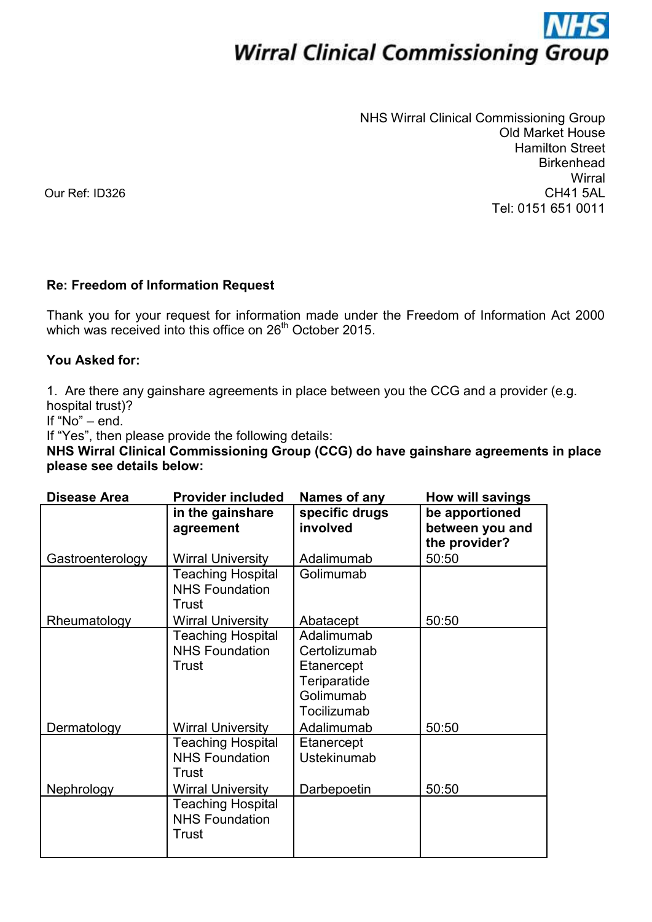## **Wirral Clinical Commissioning Group**

NHS Wirral Clinical Commissioning Group Old Market House Hamilton Street **Birkenhead Wirral** CH41 5AL Tel: 0151 651 0011

Our Ref: ID326

## **Re: Freedom of Information Request**

Thank you for your request for information made under the Freedom of Information Act 2000 which was received into this office on 26<sup>th</sup> October 2015.

## **You Asked for:**

1. Are there any gainshare agreements in place between you the CCG and a provider (e.g. hospital trust)?

If "No" – end.

If "Yes", then please provide the following details:

**NHS Wirral Clinical Commissioning Group (CCG) do have gainshare agreements in place please see details below:** 

| <b>Disease Area</b> | <b>Provider included</b>                                                               | Names of any                                                                                       | How will savings                                   |
|---------------------|----------------------------------------------------------------------------------------|----------------------------------------------------------------------------------------------------|----------------------------------------------------|
|                     | in the gainshare<br>agreement                                                          | specific drugs<br>involved                                                                         | be apportioned<br>between you and<br>the provider? |
| Gastroenterology    | <b>Wirral University</b>                                                               | Adalimumab                                                                                         | 50:50                                              |
|                     | <b>Teaching Hospital</b><br><b>NHS Foundation</b><br>Trust                             | Golimumab                                                                                          |                                                    |
| Rheumatology        | <b>Wirral University</b>                                                               | Abatacept                                                                                          | 50:50                                              |
| Dermatology         | <b>Teaching Hospital</b><br><b>NHS Foundation</b><br>Trust<br><b>Wirral University</b> | Adalimumab<br>Certolizumab<br>Etanercept<br>Teriparatide<br>Golimumab<br>Tocilizumab<br>Adalimumab | 50:50                                              |
|                     | <b>Teaching Hospital</b><br><b>NHS Foundation</b><br>Trust                             | Etanercept<br>Ustekinumab                                                                          |                                                    |
| Nephrology          | <b>Wirral University</b>                                                               | Darbepoetin                                                                                        | 50:50                                              |
|                     | <b>Teaching Hospital</b><br><b>NHS Foundation</b><br>Trust                             |                                                                                                    |                                                    |